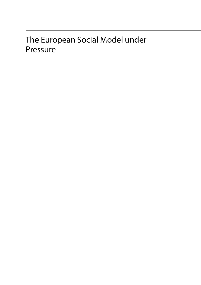# The European Social Model under Pressure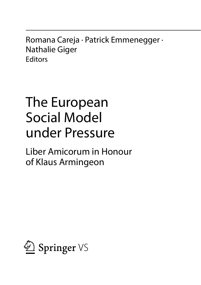Romana Careja · Patrick Emmenegger · Nathalie Giger **Editors** 

# The European Social Model under Pressure

Liber Amicorum in Honour of Klaus Armingeon

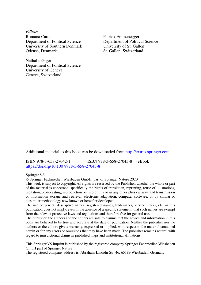*Editors* Romana Careja Department of Political Science University of Southern Denmark Odense, Denmark

Nathalie Giger Department of Political Science University of Geneva Geneva, Switzerland

Patrick Emmenegger Department of Political Science University of St. Gallen St. Gallen, Switzerland

Additionalmaterial to this book can be downloaded from http://extras.springer.com.

ISBN 978-3-658-27042-1 ISBN 978-3-658-27043-8 (eBook) <https://doi.org/10.1007/978-3-658-27043-8>

Springer VS

© Springer Fachmedien Wiesbaden GmbH, part of Springer Nature 2020

This work is subject to copyright. All rights are reserved by the Publisher, whether the whole or part of the material is concerned, specifcally the rights of translation, reprinting, reuse of illustrations, recitation, broadcasting, reproduction on microflms or in any other physical way, and transmission or information storage and retrieval, electronic adaptation, computer software, or by similar or dissimilar methodology now known or hereafter developed.

The use of general descriptive names, registered names, trademarks, service marks, etc. in this publication does not imply, even in the absence of a specifc statement, that such names are exempt from the relevant protective laws and regulations and therefore free for general use.

The publisher, the authors and the editors are safe to assume that the advice and information in this book are believed to be true and accurate at the date of publication. Neither the publisher nor the authors or the editors give a warranty, expressed or implied, with respect to the material contained herein or for any errors or omissions that may have been made. The publisher remains neutral with regard to jurisdictional claims in published maps and institutional affliations.

This Springer VS imprint is published by the registered company Springer Fachmedien Wiesbaden GmbH part of Springer Nature

The registered company address is: Abraham-Lincoln-Str. 46, 65189 Wiesbaden, Germany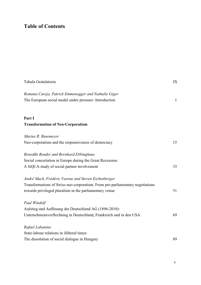## **Table of Contents**

| Tabula Gratulatoria                                                           | IX           |
|-------------------------------------------------------------------------------|--------------|
| Romana Careja, Patrick Emmenegger and Nathalie Giger                          |              |
| The European social model under pressure: Introduction                        | $\mathbf{1}$ |
| Part I                                                                        |              |
| <b>Transformation of Neo-Corporatism</b>                                      |              |
| Marius R. Busemeyer                                                           |              |
| Neo-corporatism and the responsiveness of democracy                           | 15           |
| Benedikt Bender and Bernhard Ebbinghaus                                       |              |
| Social concertation in Europe during the Great Recession:                     |              |
| A fsQCA-study of social partner involvement                                   | 33           |
| André Mach, Frédéric Varone and Steven Eichenberger                           |              |
| Transformations of Swiss neo-corporatism: From pre-parliamentary negotiations |              |
| towards privileged pluralism in the parliamentary venue                       | 51           |
| Paul Windolf                                                                  |              |
| Aufstieg und Auflösung der Deutschland AG (1896-2010):                        |              |
| Unternehmensverflechtung in Deutschland, Frankreich und in den USA            | 69           |
| Rafael Labanino                                                               |              |
| State-labour relations in illiberal times:                                    |              |
| The dissolution of social dialogue in Hungary                                 | 89           |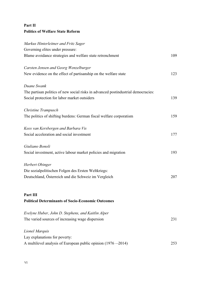### **Part II Politics of Welfare State Reform**

| Markus Hinterleitner and Fritz Sager                                              |     |
|-----------------------------------------------------------------------------------|-----|
| Governing elites under pressure:                                                  |     |
| Blame avoidance strategies and welfare state retrenchment                         | 109 |
| Carsten Jensen and Georg Wenzelburger                                             |     |
| New evidence on the effect of partisanship on the welfare state                   | 123 |
| Duane Swank                                                                       |     |
| The partisan politics of new social risks in advanced postindustrial democracies: |     |
| Social protection for labor market outsiders                                      | 139 |
| Christine Trampusch                                                               |     |
| The politics of shifting burdens: German fiscal welfare corporatism               | 159 |
| Kees van Kersbergen and Barbara Vis                                               |     |
| Social acceleration and social investment                                         | 177 |
| Giuliano Bonoli                                                                   |     |
| Social investment, active labour market policies and migration                    | 193 |
| Herbert Obinger                                                                   |     |
| Die sozialpolitischen Folgen des Ersten Weltkriegs:                               |     |
| Deutschland, Österreich und die Schweiz im Vergleich                              | 207 |
|                                                                                   |     |
| Part III                                                                          |     |
| <b>Political Determinants of Socio-Economic Outcomes</b>                          |     |
| Evelyne Huber, John D. Stephens, and Kaitlin Alper                                |     |
| The varied sources of increasing wage dispersion                                  | 231 |
| Lionel Marquis                                                                    |     |
| Lay explanations for poverty:                                                     |     |
| A multilevel analysis of European public opinion $(1976 - 2014)$                  | 253 |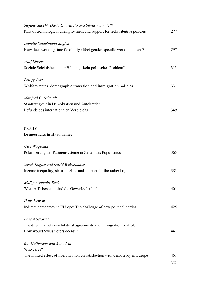| Stefano Sacchi, Dario Guarascio and Silvia Vannutelli                         |     |
|-------------------------------------------------------------------------------|-----|
| Risk of technological unemployment and support for redistributive policies    | 277 |
| Isabelle Stadelmann-Steffen                                                   |     |
| How does working time flexibility affect gender-specific work intentions?     | 297 |
| <b>Wolf Linder</b>                                                            |     |
| Soziale Selektivität in der Bildung - kein politisches Problem?               | 313 |
| Philipp Lutz                                                                  |     |
| Welfare states, demographic transition and immigration policies               | 331 |
| Manfred G. Schmidt                                                            |     |
| Staatstätigkeit in Demokratien und Autokratien:                               |     |
| Befunde des internationalen Vergleichs                                        | 349 |
| Part IV                                                                       |     |
| <b>Democracies in Hard Times</b>                                              |     |
| Uwe Wagschal                                                                  |     |
| Polarisierung der Parteiensysteme in Zeiten des Populismus                    | 365 |
| Sarah Engler and David Weisstanner                                            |     |
| Income inequality, status decline and support for the radical right           | 383 |
| Rüdiger Schmitt-Beck                                                          |     |
| Wie "AfD-bewegt" sind die Gewerkschafter?                                     | 401 |
| Hans Keman                                                                    |     |
| Indirect democracy in EUrope: The challenge of new political parties          | 425 |
| Pascal Sciarini                                                               |     |
| The dilemma between bilateral agreements and immigration control:             |     |
| How would Swiss voters decide?                                                | 447 |
| Kai Guthmann and Anna Fill                                                    |     |
| Who cares?                                                                    |     |
| The limited effect of liberalization on satisfaction with democracy in Europe | 461 |

VII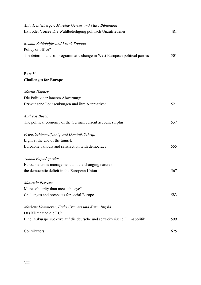| Anja Heidelberger, Marlène Gerber und Marc Bühlmann                        |     |
|----------------------------------------------------------------------------|-----|
| Exit oder Voice? Die Wahlbeteiligung politisch Unzufriedener               | 481 |
| Reimut Zohlnhöfer and Frank Bandau                                         |     |
| Policy or office?                                                          |     |
| The determinants of programmatic change in West European political parties | 501 |
| Part V                                                                     |     |
| <b>Challenges for Europe</b>                                               |     |
| Martin Höpner                                                              |     |
| Die Politik der inneren Abwertung:                                         |     |
| Erzwungene Lohnsenkungen und ihre Alternativen                             | 521 |
| Andreas Busch                                                              |     |
| The political economy of the German current account surplus                | 537 |
| Frank Schimmelfennig and Dominik Schraff                                   |     |
| Light at the end of the tunnel:                                            |     |
| Eurozone bailouts and satisfaction with democracy                          | 555 |
| Yannis Papadopoulos                                                        |     |
| Eurozone crisis management and the changing nature of                      |     |
| the democratic deficit in the European Union                               | 567 |
| Maurizio Ferrera                                                           |     |
| More solidarity than meets the eye?                                        |     |
| Challenges and prospects for social Europe                                 | 583 |
| Marlene Kammerer, Fadri Crameri und Karin Ingold                           |     |
| Das Klima und die EU:                                                      |     |
| Eine Diskursperspektive auf die deutsche und schweizerische Klimapolitik   | 599 |
| Contributors                                                               | 625 |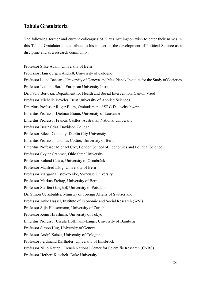#### **Tabula Gratulatoria**

The following former and current colleagues of Klaus Armingeon wish to enter their names in this Tabula Gratulatoria as a tribute to his impact on th e development of Political Science as adiscipline and a s a research community.

Professor Silke Adam, University of Bern Professor Hans-Jürgen Andreß, University of Cologne Professor Lucio Baccaro, University of Geneva and Max Planck Institute for the Study of Societies Professor Luciano Bardi, European University Institute Dr. Fabio Bertozzi, Department for Health and Social Intervention, Canton Vaud Professor Michelle Beyeler, Bern University of Applied Sciences Emeritus Professor Roger Blum, Ombudsman of SRG Deutschschweiz Emeritus Professor Dietmar Braun, University of Lausanne Emeritus Professor Francis Castles, Australian National University Professor Besir Ceka, Davidson College Professor Eileen Connolly, Dublin City University Emeritus Professor Thomas Cottier, University of Bern Emeritus Professor Michael Cox, London School of Economics and Political Science Professor Skyler Cranmer, Ohio State University Professor Roland Czada, University of Osnabrück Professor Manfred Elsig, University of Bern Professor Margarita Estevez-Abe, Syracuse University Professor Markus Freitag, University of Bern Professor Steffen Ganghof, University of Potsdam Dr. Simon Geissbühler, Ministry of Foreign Affairs of Switzerland Professor Anke Hassel, Institute of Economic and Social Research (WSI) Professor Silja Häusermann, University of Zurich Professor Kenji Hirashima, University of Tokyo Emeritus Professor Ursula Hoffmann-Lange, University of Bamberg Professor Simon Hug, University of Geneva Professor André Kaiser, University of Cologne Professor Ferdinand Karlhofer, University of Innsbruck Professor Niilo Kauppi, French National Center for Scientific Research (CNRS) Professor Herbert Kitschelt, Duke University